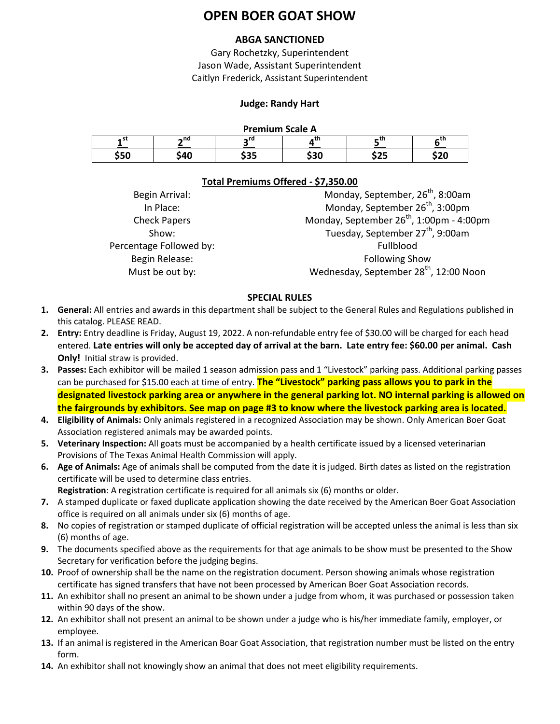# **OPEN BOER GOAT SHOW**

# **ABGA SANCTIONED**

Gary Rochetzky, Superintendent Jason Wade, Assistant Superintendent Caitlyn Frederick, Assistant Superintendent

# **Judge: Randy Hart**

## **Premium Scale A**

| . . <b>. .</b> |     |  |      |                |            |
|----------------|-----|--|------|----------------|------------|
| . 3L           | ∽nd |  |      | - 41           | ~ LI I     |
| 8 F F<br>55U   | `40 |  | \$30 | $- - -$<br>--- | ሶኅል<br>しムひ |

# **Total Premiums Offered - \$7,350.00**

| Begin Arrival:          | Monday, September, 26 <sup>th</sup> , 8:00am         |
|-------------------------|------------------------------------------------------|
| In Place:               | Monday, September 26 <sup>th</sup> , 3:00pm          |
| <b>Check Papers</b>     | Monday, September 26 <sup>th</sup> , 1:00pm - 4:00pm |
| Show:                   | Tuesday, September 27 <sup>th</sup> , 9:00am         |
| Percentage Followed by: | Fullblood                                            |
| Begin Release:          | <b>Following Show</b>                                |
| Must be out by:         | Wednesday, September 28 <sup>th</sup> , 12:00 Noon   |
|                         |                                                      |

### **SPECIAL RULES**

- **1. General:** All entries and awards in this department shall be subject to the General Rules and Regulations published in this catalog. PLEASE READ.
- **2. Entry:** Entry deadline is Friday, August 19, 2022. A non-refundable entry fee of \$30.00 will be charged for each head entered. **Late entries will only be accepted day of arrival at the barn. Late entry fee: \$60.00 per animal. Cash Only!** Initial straw is provided.
- **3. Passes:** Each exhibitor will be mailed 1 season admission pass and 1 "Livestock" parking pass. Additional parking passes can be purchased for \$15.00 each at time of entry. **The "Livestock" parking pass allows you to park in the designated livestock parking area or anywhere in the general parking lot. NO internal parking is allowed on the fairgrounds by exhibitors. See map on page #3 to know where the livestock parking area is located.**
- **4. Eligibility of Animals:** Only animals registered in a recognized Association may be shown. Only American Boer Goat Association registered animals may be awarded points.
- **5. Veterinary Inspection:** All goats must be accompanied by a health certificate issued by a licensed veterinarian Provisions of The Texas Animal Health Commission will apply.
- **6. Age of Animals:** Age of animals shall be computed from the date it is judged. Birth dates as listed on the registration certificate will be used to determine class entries.
	- **Registration**: A registration certificate is required for all animals six (6) months or older.
- **7.** A stamped duplicate or faxed duplicate application showing the date received by the American Boer Goat Association office is required on all animals under six (6) months of age.
- **8.** No copies of registration or stamped duplicate of official registration will be accepted unless the animal is less than six (6) months of age.
- **9.** The documents specified above as the requirements for that age animals to be show must be presented to the Show Secretary for verification before the judging begins.
- **10.** Proof of ownership shall be the name on the registration document. Person showing animals whose registration certificate has signed transfers that have not been processed by American Boer Goat Association records.
- **11.** An exhibitor shall no present an animal to be shown under a judge from whom, it was purchased or possession taken within 90 days of the show.
- **12.** An exhibitor shall not present an animal to be shown under a judge who is his/her immediate family, employer, or employee.
- **13.** If an animal is registered in the American Boar Goat Association, that registration number must be listed on the entry form.
- **14.** An exhibitor shall not knowingly show an animal that does not meet eligibility requirements.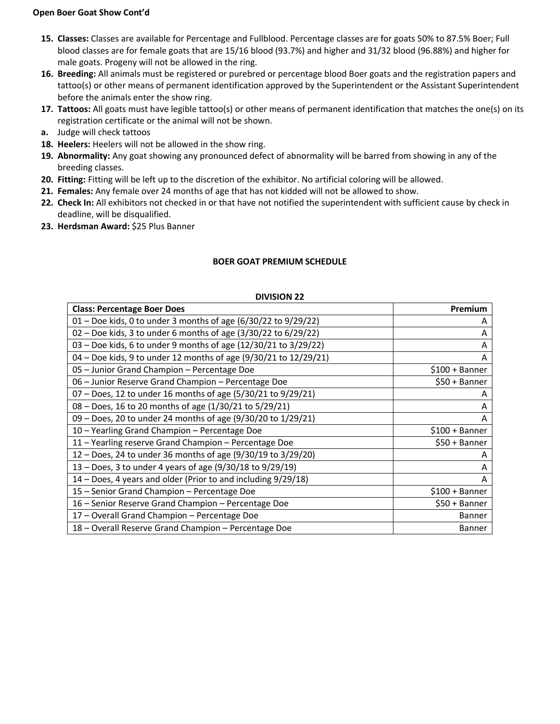#### **Open Boer Goat Show Cont'd**

- **15. Classes:** Classes are available for Percentage and Fullblood. Percentage classes are for goats 50% to 87.5% Boer; Full blood classes are for female goats that are 15/16 blood (93.7%) and higher and 31/32 blood (96.88%) and higher for male goats. Progeny will not be allowed in the ring.
- **16. Breeding:** All animals must be registered or purebred or percentage blood Boer goats and the registration papers and tattoo(s) or other means of permanent identification approved by the Superintendent or the Assistant Superintendent before the animals enter the show ring.
- **17. Tattoos:** All goats must have legible tattoo(s) or other means of permanent identification that matches the one(s) on its registration certificate or the animal will not be shown.
- **a.** Judge will check tattoos
- **18. Heelers:** Heelers will not be allowed in the show ring.
- **19. Abnormality:** Any goat showing any pronounced defect of abnormality will be barred from showing in any of the breeding classes.
- **20. Fitting:** Fitting will be left up to the discretion of the exhibitor. No artificial coloring will be allowed.
- **21. Females:** Any female over 24 months of age that has not kidded will not be allowed to show.
- **22. Check In:** All exhibitors not checked in or that have not notified the superintendent with sufficient cause by check in deadline, will be disqualified.
- **23. Herdsman Award:** \$25 Plus Banner

### **BOER GOAT PREMIUM SCHEDULE**

| <b>DIVISION 22</b> |  |
|--------------------|--|
|--------------------|--|

| <b>Class: Percentage Boer Does</b>                               | <b>Premium</b>  |
|------------------------------------------------------------------|-----------------|
| 01 - Doe kids, 0 to under 3 months of age (6/30/22 to 9/29/22)   | A               |
| 02 - Doe kids, 3 to under 6 months of age (3/30/22 to 6/29/22)   | A               |
| 03 - Doe kids, 6 to under 9 months of age (12/30/21 to 3/29/22)  | A               |
| 04 - Doe kids, 9 to under 12 months of age (9/30/21 to 12/29/21) | A               |
| 05 - Junior Grand Champion - Percentage Doe                      | $$100 + Banner$ |
| 06 - Junior Reserve Grand Champion - Percentage Doe              | \$50 + Banner   |
| $07 -$ Does, 12 to under 16 months of age (5/30/21 to 9/29/21)   | A               |
| 08 - Does, 16 to 20 months of age (1/30/21 to 5/29/21)           | A               |
| 09 - Does, 20 to under 24 months of age (9/30/20 to 1/29/21)     | A               |
| 10 - Yearling Grand Champion - Percentage Doe                    | $$100 + Banner$ |
| 11 - Yearling reserve Grand Champion - Percentage Doe            | \$50 + Banner   |
| 12 – Does, 24 to under 36 months of age (9/30/19 to 3/29/20)     | A               |
| 13 – Does, 3 to under 4 years of age (9/30/18 to 9/29/19)        | A               |
| 14 – Does, 4 years and older (Prior to and including 9/29/18)    | A               |
| 15 - Senior Grand Champion - Percentage Doe                      | $$100 + Banner$ |
| 16 - Senior Reserve Grand Champion - Percentage Doe              | \$50 + Banner   |
| 17 - Overall Grand Champion - Percentage Doe                     | <b>Banner</b>   |
| 18 - Overall Reserve Grand Champion - Percentage Doe             | <b>Banner</b>   |